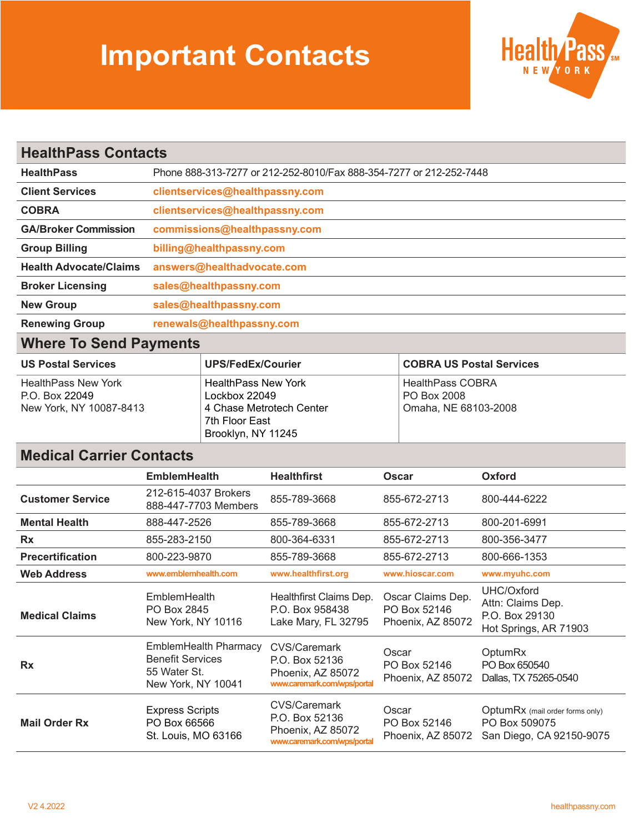## **Important Contacts**



| <b>HealthPass Contacts</b>    |                                                                     |  |  |  |
|-------------------------------|---------------------------------------------------------------------|--|--|--|
| <b>HealthPass</b>             | Phone 888-313-7277 or 212-252-8010/Fax 888-354-7277 or 212-252-7448 |  |  |  |
| <b>Client Services</b>        | clientservices@healthpassny.com                                     |  |  |  |
| <b>COBRA</b>                  | clientservices@healthpassny.com                                     |  |  |  |
| <b>GA/Broker Commission</b>   | commissions@healthpassny.com                                        |  |  |  |
| <b>Group Billing</b>          | billing@healthpassny.com                                            |  |  |  |
| <b>Health Advocate/Claims</b> | answers@healthadvocate.com                                          |  |  |  |
| <b>Broker Licensing</b>       | sales@healthpassny.com                                              |  |  |  |
| <b>New Group</b>              | sales@healthpassny.com                                              |  |  |  |
| <b>Renewing Group</b>         | renewals@healthpassny.com                                           |  |  |  |

## **Where To Send Payments**

| <b>US Postal Services</b>  | UPS/FedEx/Courier          | <b>COBRA US Postal Services</b> |
|----------------------------|----------------------------|---------------------------------|
| <b>HealthPass New York</b> | <b>HealthPass New York</b> | <b>HealthPass COBRA</b>         |
| P.O. Box 22049             | Lockbox 22049              | PO Box 2008                     |
| New York, NY 10087-8413    | 4 Chase Metrotech Center   | Omaha, NE 68103-2008            |
|                            | 7th Floor East             |                                 |
|                            | Brooklyn, NY 11245         |                                 |

## **Medical Carrier Contacts**

|                         | <b>EmblemHealth</b>                                                                           | <b>Healthfirst</b>                                                                 | <b>Oscar</b>                                           | Oxford                                                                       |
|-------------------------|-----------------------------------------------------------------------------------------------|------------------------------------------------------------------------------------|--------------------------------------------------------|------------------------------------------------------------------------------|
| <b>Customer Service</b> | 212-615-4037 Brokers<br>888-447-7703 Members                                                  | 855-789-3668                                                                       | 855-672-2713                                           | 800-444-6222                                                                 |
| <b>Mental Health</b>    | 888-447-2526                                                                                  | 855-789-3668                                                                       | 855-672-2713                                           | 800-201-6991                                                                 |
| <b>Rx</b>               | 855-283-2150                                                                                  | 800-364-6331                                                                       | 855-672-2713                                           | 800-356-3477                                                                 |
| <b>Precertification</b> | 800-223-9870                                                                                  | 855-789-3668                                                                       | 855-672-2713                                           | 800-666-1353                                                                 |
| <b>Web Address</b>      | www.emblemhealth.com                                                                          | www.healthfirst.org                                                                | www.hioscar.com                                        | www.myuhc.com                                                                |
| <b>Medical Claims</b>   | <b>EmblemHealth</b><br>PO Box 2845<br>New York, NY 10116                                      | Healthfirst Claims Dep.<br>P.O. Box 958438<br>Lake Mary, FL 32795                  | Oscar Claims Dep.<br>PO Box 52146<br>Phoenix, AZ 85072 | UHC/Oxford<br>Attn: Claims Dep.<br>P.O. Box 29130<br>Hot Springs, AR 71903   |
| <b>Rx</b>               | <b>EmblemHealth Pharmacy</b><br><b>Benefit Services</b><br>55 Water St.<br>New York, NY 10041 | CVS/Caremark<br>P.O. Box 52136<br>Phoenix, AZ 85072<br>www.caremark.com/wps/portal | Oscar<br>PO Box 52146<br>Phoenix, AZ 85072             | <b>OptumRx</b><br>PO Box 650540<br>Dallas, TX 75265-0540                     |
| <b>Mail Order Rx</b>    | <b>Express Scripts</b><br>PO Box 66566<br>St. Louis, MO 63166                                 | CVS/Caremark<br>P.O. Box 52136<br>Phoenix, AZ 85072<br>www.caremark.com/wps/portal | Oscar<br>PO Box 52146<br>Phoenix, AZ 85072             | OptumRx (mail order forms only)<br>PO Box 509075<br>San Diego, CA 92150-9075 |